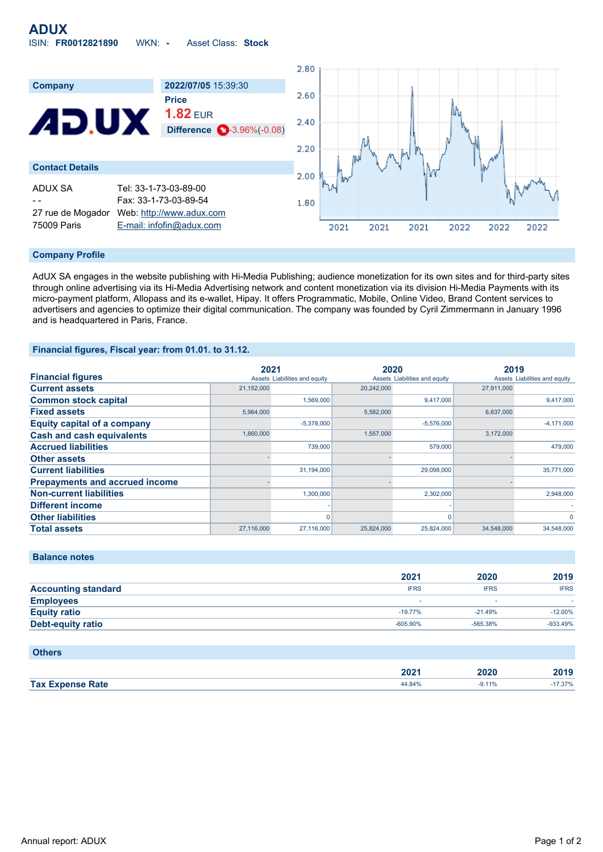

#### **Company Profile**

AdUX SA engages in the website publishing with Hi-Media Publishing; audience monetization for its own sites and for third-party sites through online advertising via its Hi-Media Advertising network and content monetization via its division Hi-Media Payments with its micro-payment platform, Allopass and its e-wallet, Hipay. It offers Programmatic, Mobile, Online Video, Brand Content services to advertisers and agencies to optimize their digital communication. The company was founded by Cyril Zimmermann in January 1996 and is headquartered in Paris, France.

# **Financial figures, Fiscal year: from 01.01. to 31.12.**

|                                       | 2021       |                               | 2020       |                               | 2019       |                               |
|---------------------------------------|------------|-------------------------------|------------|-------------------------------|------------|-------------------------------|
| <b>Financial figures</b>              |            | Assets Liabilities and equity |            | Assets Liabilities and equity |            | Assets Liabilities and equity |
| <b>Current assets</b>                 | 21,152,000 |                               | 20,242,000 |                               | 27.911.000 |                               |
| <b>Common stock capital</b>           |            | 1,569,000                     |            | 9,417,000                     |            | 9,417,000                     |
| <b>Fixed assets</b>                   | 5,964,000  |                               | 5,582,000  |                               | 6,637,000  |                               |
| <b>Equity capital of a company</b>    |            | $-5,378,000$                  |            | $-5,576,000$                  |            | $-4,171,000$                  |
| <b>Cash and cash equivalents</b>      | 1,860,000  |                               | 1,557,000  |                               | 3,172,000  |                               |
| <b>Accrued liabilities</b>            |            | 739,000                       |            | 579,000                       |            | 479,000                       |
| <b>Other assets</b>                   |            |                               |            |                               |            |                               |
| <b>Current liabilities</b>            |            | 31,194,000                    |            | 29,098,000                    |            | 35,771,000                    |
| <b>Prepayments and accrued income</b> |            |                               |            |                               |            |                               |
| <b>Non-current liabilities</b>        |            | 1.300.000                     |            | 2,302,000                     |            | 2,948,000                     |
| <b>Different income</b>               |            |                               |            |                               |            |                               |
| <b>Other liabilities</b>              |            |                               |            | O                             |            | $\Omega$                      |
| <b>Total assets</b>                   | 27,116,000 | 27,116,000                    | 25,824,000 | 25,824,000                    | 34,548,000 | 34,548,000                    |

## **Balance notes**

|                            | 2021        | 2020        | 2019        |
|----------------------------|-------------|-------------|-------------|
| <b>Accounting standard</b> | <b>IFRS</b> | <b>IFRS</b> | <b>IFRS</b> |
| <b>Employees</b>           |             |             |             |
| <b>Equity ratio</b>        | $-19.77\%$  | $-21.49%$   | $-12.00\%$  |
| Debt-equity ratio          | $-605.90\%$ | $-565.38%$  | $-933.49%$  |

| <b>Others</b>           |        |          |        |
|-------------------------|--------|----------|--------|
|                         | 2021   | 2020     | 2019   |
| <b>Tax Expense Rate</b> | 44.84% | $-9.11%$ | 17.37% |